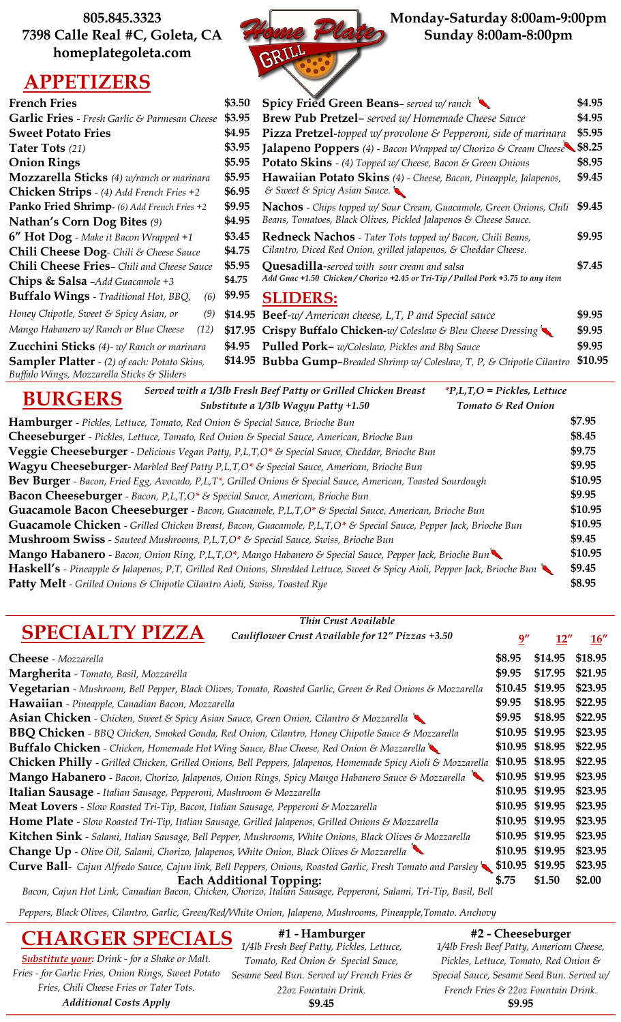**805.845.3323 7398 Calle Real #C, Goleta, CA homeplategoleta.com**

# **APPETIZERS**



| <b>French Fries</b>                                                                               | \$3.50  | Spicy Fried Green Beans-served w/ranch                                                                                                                        | \$4.95  |
|---------------------------------------------------------------------------------------------------|---------|---------------------------------------------------------------------------------------------------------------------------------------------------------------|---------|
| <b>Garlic Fries</b> - Fresh Garlic & Parmesan Cheese                                              | \$3.95  | <b>Brew Pub Pretzel-</b> served w/ Homemade Cheese Sauce                                                                                                      | \$4.95  |
| <b>Sweet Potato Fries</b>                                                                         | \$4.95  | <b>Pizza Pretzel-</b> topped w/ provolone & Pepperoni, side of marinara                                                                                       | \$5.95  |
| Tater Tots (21)                                                                                   | \$3.95  | Jalapeno Poppers (4) - Bacon Wrapped w/ Chorizo & Cream Cheese \$8.25                                                                                         |         |
| <b>Onion Rings</b>                                                                                | \$5.95  | <b>Potato Skins</b> - (4) Topped w/ Cheese, Bacon & Green Onions                                                                                              | \$8.95  |
| Mozzarella Sticks (4) w/ranch or marinara                                                         | \$5.95  | Hawaiian Potato Skins (4) - Cheese, Bacon, Pineapple, Jalapenos,                                                                                              | \$9.45  |
| Chicken Strips - (4) Add French Fries +2                                                          | \$6.95  | & Sweet & Spicy Asian Sauce.                                                                                                                                  |         |
| Panko Fried Shrimp- (6) Add French Fries +2                                                       | \$9.95  | Nachos - Chips topped w/ Sour Cream, Guacamole, Green Onions, Chili                                                                                           | \$9.45  |
| <b>Nathan's Corn Dog Bites (9)</b>                                                                | \$4.95  | Beans, Tomatoes, Black Olives, Pickled Jalapenos & Cheese Sauce.                                                                                              |         |
| 6" Hot Dog - Make it Bacon Wrapped +1                                                             | \$3.45  | Redneck Nachos - Tater Tots topped w/ Bacon, Chili Beans,                                                                                                     | \$9.95  |
| Chili Cheese Dog- Chili & Cheese Sauce                                                            | \$4.75  | Cilantro, Diced Red Onion, grilled jalapenos, & Cheddar Cheese.                                                                                               |         |
| Chili Cheese Fries- Chili and Cheese Sauce<br>\$5.95                                              |         | <b>Quesadilla-served with sour cream and salsa</b>                                                                                                            | \$7.45  |
| Chips & Salsa -Add Guacamole +3                                                                   | \$4.75  | Add Guac +1.50 Chicken / Chorizo +2.45 or Tri-Tip / Pulled Pork +3.75 to any item                                                                             |         |
| Buffalo Wings - Traditional Hot, BBQ,<br>(6)                                                      | \$9.95  | <b>SLIDERS:</b>                                                                                                                                               |         |
| Honey Chipotle, Sweet & Spicy Asian, or<br>(9)                                                    |         | \$14.95 Beef-w/ American cheese, L,T, P and Special sauce                                                                                                     | \$9.95  |
| Mango Habanero w/ Ranch or Blue Cheese<br>(12)                                                    | \$17.95 | Crispy Buffalo Chicken-w/Coleslaw & Bleu Cheese Dressing<br>\$9.95                                                                                            |         |
| Zucchini Sticks (4)- w/ Ranch or marinara                                                         | \$4.95  | \$9.95<br>Pulled Pork- w/Coleslaw, Pickles and Bbq Sauce                                                                                                      |         |
| <b>Sampler Platter</b> - (2) of each: Potato Skins,<br>Buffalo Wings, Mozzarella Sticks & Sliders | \$14.95 | <b>Bubba Gump-</b> Breaded Shrimp w/ Coleslaw, T, P, & Chipotle Cilantro                                                                                      | \$10.95 |
|                                                                                                   |         | Served with a 1/3lb Fresh Beef Patty or Grilled Chicken Breast<br>$P,L,T,O = Pickles, Let tuce$<br>Substitute a 1/3lb Wagyu Patty +1.50<br>Tomato & Red Onion |         |

|                                                                                  | $\frac{1}{2}$ substitute a 1/310 vvagya Patty +1.30                                                                         | TOMALO CT NEU UNION |         |
|----------------------------------------------------------------------------------|-----------------------------------------------------------------------------------------------------------------------------|---------------------|---------|
|                                                                                  | Hamburger - Pickles, Lettuce, Tomato, Red Onion & Special Sauce, Brioche Bun                                                |                     | \$7.95  |
|                                                                                  | Cheeseburger - Pickles, Lettuce, Tomato, Red Onion & Special Sauce, American, Brioche Bun                                   |                     | \$8.45  |
|                                                                                  | <b>Veggie Cheeseburger</b> - Delicious Vegan Patty, P,L,T,O* & Special Sauce, Cheddar, Brioche Bun                          |                     | \$9.75  |
|                                                                                  | Wagyu Cheeseburger- Marbled Beef Patty P,L,T,O* & Special Sauce, American, Brioche Bun                                      |                     | \$9.95  |
|                                                                                  | Bev Burger - Bacon, Fried Egg, Avocado, P,L,T*, Grilled Onions & Special Sauce, American, Toasted Sourdough                 |                     | \$10.95 |
|                                                                                  | <b>Bacon Cheeseburger</b> - Bacon, P,L,T,O* & Special Sauce, American, Brioche Bun                                          |                     | \$9.95  |
|                                                                                  | Guacamole Bacon Cheeseburger - Bacon, Guacamole, P,L,T,O* & Special Sauce, American, Brioche Bun                            |                     | \$10.95 |
|                                                                                  | Guacamole Chicken - Grilled Chicken Breast, Bacon, Guacamole, P,L,T,O* & Special Sauce, Pepper Jack, Brioche Bun            |                     | \$10.95 |
|                                                                                  | <b>Mushroom Swiss</b> - Sauteed Mushrooms, P,L,T,O* & Special Sauce, Swiss, Brioche Bun                                     |                     | \$9.45  |
|                                                                                  | <b>Mango Habanero</b> - Bacon, Onion Ring, P,L,T,O*, Mango Habanero & Special Sauce, Pepper Jack, Brioche Bun               |                     | \$10.95 |
|                                                                                  | Haskell's - Pineapple & Jalapenos, P,T, Grilled Red Onions, Shredded Lettuce, Sweet & Spicy Aioli, Pepper Jack, Brioche Bun |                     | \$9.45  |
| <b>Patty Melt</b> - Grilled Onions & Chipotle Cilantro Aioli, Swiss, Toasted Rye |                                                                                                                             |                     | \$8.95  |
|                                                                                  |                                                                                                                             |                     |         |

## **SPECIALTY PIZZA Cheese** - *Mozzarella* **\$8.95 \$14.95 \$18.95 Margherita** - *Tomato, Basil, Mozzarella* **\$9.95 \$17.95 \$21.95 Vegetarian** - *Mushroom, Bell Pepper, Black Olives, Tomato, Roasted Garlic, Green & Red Onions & Mozzarella* **\$10.45 \$19.95 \$23.95 Hawaiian** - *Pineapple, Canadian Bacon, Mozzarella* **\$9.95 \$18.95 \$22.95 Asian Chicken** - *Chicken, Sweet & Spicy Asian Sauce, Green Onion, Cilantro & Mozzarella* **\$9.95 \$18.95 \$22.95 BBQ Chicken** - *BBQ Chicken, Smoked Gouda, Red Onion, Cilantro, Honey Chipotle Sauce & Mozzarella* **\$10.95 \$19.95 \$23.95 Buffalo Chicken** - *Chicken, Homemade Hot Wing Sauce, Blue Cheese, Red Onion & Mozzarella* **\$10.95 \$18.95 \$22.95 Chicken Philly** - *Grilled Chicken, Grilled Onions, Bell Peppers, Jalapenos, Homemade Spicy Aioli & Mozzarella* **\$10.95 \$18.95 \$22.95 Mango Habanero** - *Bacon, Chorizo, Jalapenos, Onion Rings, Spicy Mango Habanero Sauce & Mozzarella* **\$10.95 \$19.95 \$23.95 Italian Sausage** - *Italian Sausage, Pepperoni, Mushroom & Mozzarella* **\$10.95 \$19.95 \$23.95 Meat Lovers** - *Slow Roasted Tri-Tip, Bacon, Italian Sausage, Pepperoni & Mozzarella* **\$10.95 \$19.95 \$23.95 Home Plate** - *Slow Roasted Tri-Tip, Italian Sausage, Grilled Jalapenos, Grilled Onions & Mozzarella* **\$10.95 \$19.95 \$23.95 Kitchen Sink** - *Salami, Italian Sausage, Bell Pepper, Mushrooms, White Onions, Black Olives & Mozzarella* **\$10.95 \$19.95 \$23.95 Change Up** - *Olive Oil, Salami, Chorizo, Jalapenos, White Onion, Black Olives & Mozzarella* **\$10.95 \$19.95 \$23.95 Curve Ball**-*Cajun Alfredo Sauce, Cajun link, Bell Peppers, Onions, Roasted Garlic, Fresh Tomato and Parsley* **\$10.95 \$19.95 \$23.95 Each Additional Topping: \$.75 \$1.50 \$2.00 9" 12" 16"** *Bacon, Cajun Hot Link, Canadian Bacon, Chicken, Chorizo, Italian Sausage, Pepperoni, Salami, Tri-Tip, Basil, Bell Thin Crust Available Cauliflower Crust Available for 12" Pizzas +3.50*

*Peppers, Black Olives, Cilantro, Garlic, Green/Red/White Onion, Jalapeno, Mushrooms, Pineapple,Tomato. Anchovy*

*Substitute your: Drink - for a Shake or Malt. Fries - for Garlic Fries, Onion Rings, Sweet Potato Fries, Chili Cheese Fries or Tater Tots. Additional Costs Apply*

**CHARGER SPECIALS #1 - Hamburger #2 - Cheeseburger** *1/4lb Fresh Beef Patty, Pickles, Lettuce, Tomato, Red Onion & Special Sauce, Sesame Seed Bun. Served w/ French Fries & 22oz Fountain Drink.* **\$9.45 \$9.95**

*1/4lb Fresh Beef Patty, American Cheese, Pickles, Lettuce, Tomato, Red Onion & Special Sauce, Sesame Seed Bun. Served w/ French Fries & 22oz Fountain Drink.*